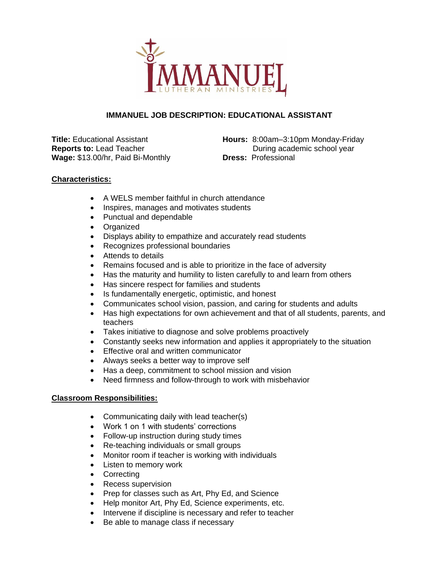

## **IMMANUEL JOB DESCRIPTION: EDUCATIONAL ASSISTANT**

**Title:** Educational Assistant **Reports to:** Lead Teacher **Wage:** \$13.00/hr, Paid Bi-Monthly

**Hours:** 8:00am–3:10pm Monday-Friday During academic school year **Dress:** Professional

## **Characteristics:**

- A WELS member faithful in church attendance
- Inspires, manages and motivates students
- Punctual and dependable
- Organized
- Displays ability to empathize and accurately read students
- Recognizes professional boundaries
- Attends to details
- Remains focused and is able to prioritize in the face of adversity
- Has the maturity and humility to listen carefully to and learn from others
- Has sincere respect for families and students
- Is fundamentally energetic, optimistic, and honest
- Communicates school vision, passion, and caring for students and adults
- Has high expectations for own achievement and that of all students, parents, and teachers
- Takes initiative to diagnose and solve problems proactively
- Constantly seeks new information and applies it appropriately to the situation
- **Effective oral and written communicator**
- Always seeks a better way to improve self
- Has a deep, commitment to school mission and vision
- Need firmness and follow-through to work with misbehavior

## **Classroom Responsibilities:**

- Communicating daily with lead teacher(s)
- Work 1 on 1 with students' corrections
- Follow-up instruction during study times
- Re-teaching individuals or small groups
- Monitor room if teacher is working with individuals
- Listen to memory work
- Correcting
- Recess supervision
- Prep for classes such as Art, Phy Ed, and Science
- Help monitor Art, Phy Ed, Science experiments, etc.
- Intervene if discipline is necessary and refer to teacher
- Be able to manage class if necessary